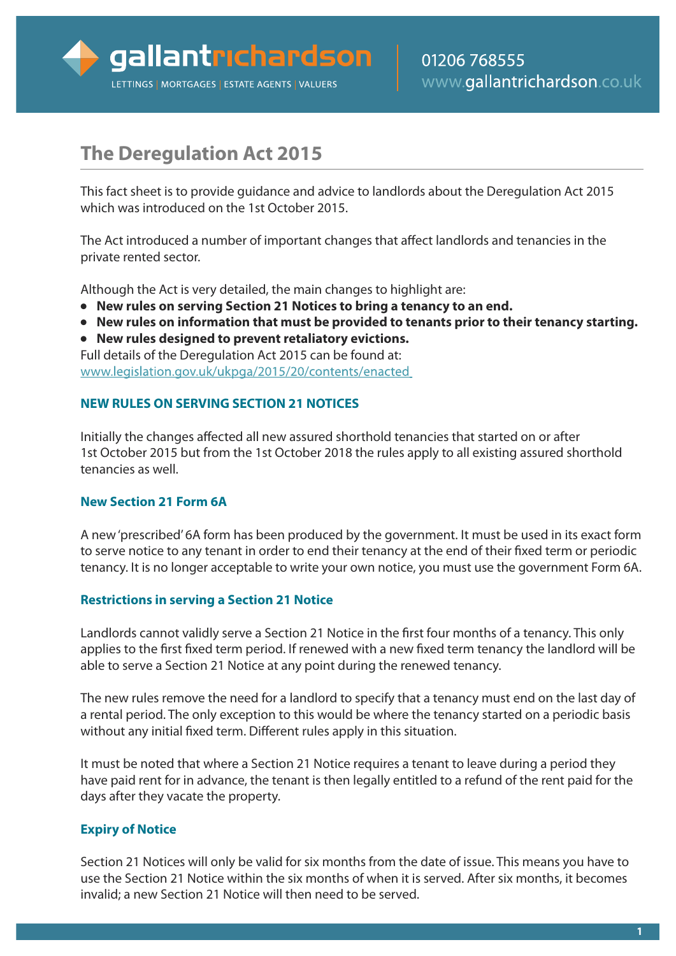

# **The Deregulation Act 2015**

This fact sheet is to provide guidance and advice to landlords about the Deregulation Act 2015 which was introduced on the 1st October 2015.

The Act introduced a number of important changes that affect landlords and tenancies in the private rented sector.

Although the Act is very detailed, the main changes to highlight are:

- **● New rules on serving Section 21 Notices to bring a tenancy to an end.**
- **● New rules on information that must be provided to tenants prior to their tenancy starting.**
- **● New rules designed to prevent retaliatory evictions.**

Full details of the Deregulation Act 2015 can be found at: www.legislation.gov.uk/ukpga/2015/20/contents/enacted

#### **NEW RULES ON SERVING SECTION 21 NOTICES**

Initially the changes affected all new assured shorthold tenancies that started on or after 1st October 2015 but from the 1st October 2018 the rules apply to all existing assured shorthold tenancies as well.

## **New Section 21 Form 6A**

A new'prescribed'6A form has been produced by the government. It must be used in its exact form to serve notice to any tenant in order to end their tenancy at the end of their fixed term or periodic tenancy. It is no longer acceptable to write your own notice, you must use the government Form 6A.

## **Restrictions in serving a Section 21 Notice**

Landlords cannot validly serve a Section 21 Notice in the first four months of a tenancy. This only applies to the first fixed term period. If renewed with a new fixed term tenancy the landlord will be able to serve a Section 21 Notice at any point during the renewed tenancy.

The new rules remove the need for a landlord to specify that a tenancy must end on the last day of a rental period. The only exception to this would be where the tenancy started on a periodic basis without any initial fixed term. Different rules apply in this situation.

It must be noted that where a Section 21 Notice requires a tenant to leave during a period they have paid rent for in advance, the tenant is then legally entitled to a refund of the rent paid for the days after they vacate the property.

## **Expiry of Notice**

Section 21 Notices will only be valid for six months from the date of issue. This means you have to use the Section 21 Notice within the six months of when it is served. After six months, it becomes invalid; a new Section 21 Notice will then need to be served.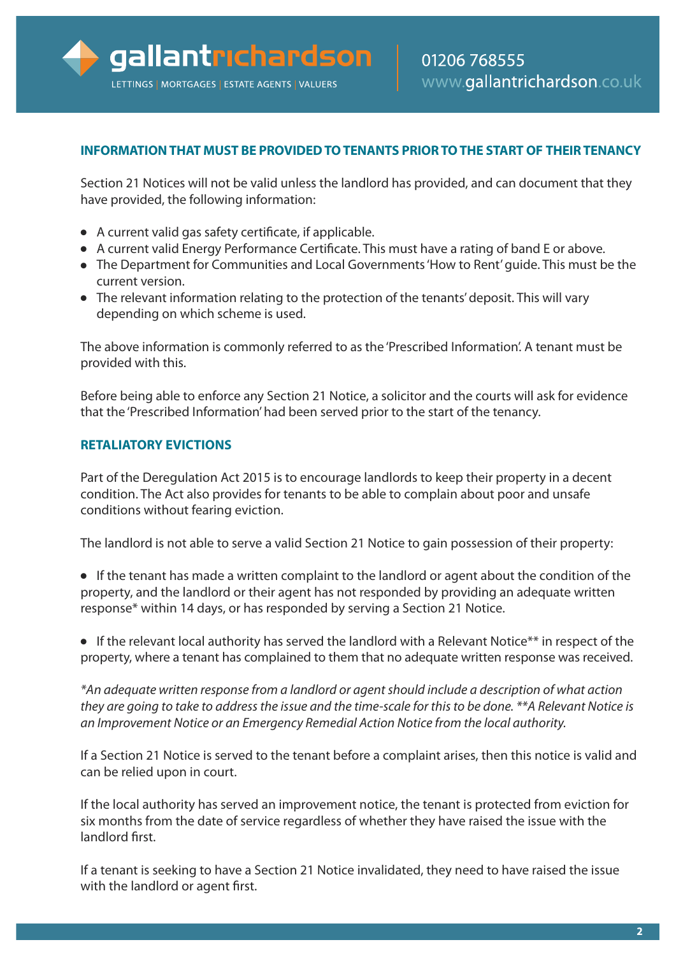## **INFORMATIONTHAT MUST BE PROVIDEDTOTENANTS PRIORTOTHE START OF THEIRTENANCY**

Section 21 Notices will not be valid unless the landlord has provided, and can document that they have provided, the following information:

- **●** A current valid gas safety certificate, if applicable.
- **●** A current valid Energy Performance Certificate. This must have a rating of band E or above.
- **●** The Department for Communities and Local Governments'How to Rent'guide. This must be the current version.
- **●** The relevant information relating to the protection of the tenants'deposit. This will vary depending on which scheme is used.

The above information is commonly referred to as the 'Prescribed Information'. A tenant must be provided with this.

Before being able to enforce any Section 21 Notice, a solicitor and the courts will ask for evidence that the 'Prescribed Information'had been served prior to the start of the tenancy.

## **RETALIATORY EVICTIONS**

Part of the Deregulation Act 2015 is to encourage landlords to keep their property in a decent condition. The Act also provides for tenants to be able to complain about poor and unsafe conditions without fearing eviction.

The landlord is not able to serve a valid Section 21 Notice to gain possession of their property:

- **●** If the tenant has made a written complaint to the landlord or agent about the condition of the property, and the landlord or their agent has not responded by providing an adequate written response\* within 14 days, or has responded by serving a Section 21 Notice.
- **●** If the relevant local authority has served the landlord with a Relevant Notice\*\* in respect of the property, where a tenant has complained to them that no adequate written response was received.

*\*An adequate written response from a landlord or agent should include a description of what action* they are going to take to address the issue and the time-scale for this to be done. \*\*A Relevant Notice is *an Improvement Notice or an Emergency Remedial Action Notice from the local authority.*

If a Section 21 Notice is served to the tenant before a complaint arises, then this notice is valid and can be relied upon in court.

If the local authority has served an improvement notice, the tenant is protected from eviction for six months from the date of service regardless of whether they have raised the issue with the landlord first.

If a tenant is seeking to have a Section 21 Notice invalidated, they need to have raised the issue with the landlord or agent first.